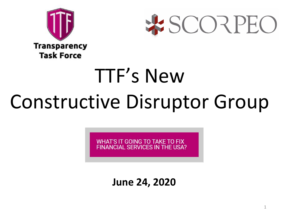



# TTF's New Constructive Disruptor Group

WHAT'S IT GOING TO TAKE TO FIX **FINANCIAL SERVICES IN THE USA?** 

**June 24, 2020**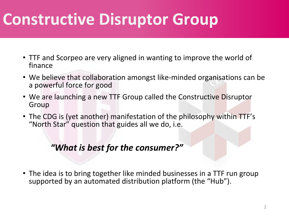## **Constructive Disruptor Group**

- TTF and Scorpeo are very aligned in wanting to improve the world of finance
- We believe that collaboration amongst like-minded organisations can be a powerful force for good
- We are launching a new TTF Group called the Constructive Disruptor Group
- The CDG is (yet another) manifestation of the philosophy within TTF's "North Star" question that guides all we do, i.e.

#### *"What is best for the consumer?"*

• The idea is to bring together like minded businesses in a TTF run group supported by an automated distribution platform (the "Hub").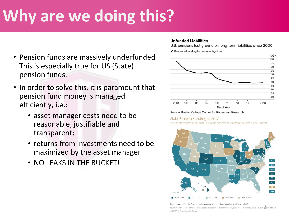## **Why are we doing this?**

- Pension funds are massively underfunded This is especially true for US (State) pension funds.
- In order to solve this, it is paramount that pension fund money is managed efficiently, i.e.:
	- asset manager costs need to be reasonable, justifiable and transparent;
	- returns from investments need to be maximized by the asset manager
	- NO LEAKS IN THE BUCKET!

#### **Unfunded Liabilities**

U.S. pensions lost ground on long-term liabilities since 2000

Percent of funding for future obligations



#### Source: Boston College Center for Retirement Research

State Pension Funding in 2017 Just 8 states were at least 90% funded while 24 were below 70% funded



#### Note: Numbers reflect the Governmental Accounting Standards Board reporting standards as of 2017.

Source: Comprehensive annual financial reports, actuarial reports and valuations, other public documents, or as provided boolan officials © 2019 The Pew Charitable Trusts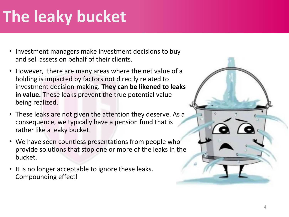## **The leaky bucket**

- Investment managers make investment decisions to buy and sell assets on behalf of their clients.
- However, there are many areas where the net value of a holding is impacted by factors not directly related to investment decision-making. **They can be likened to leaks in value.** These leaks prevent the true potential value being realized.
- These leaks are not given the attention they deserve. As a consequence, we typically have a pension fund that is rather like a leaky bucket.
- We have seen countless presentations from people who provide solutions that stop one or more of the leaks in the bucket.
- It is no longer acceptable to ignore these leaks. Compounding effect!

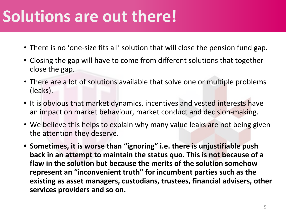#### **Solutions are out there!**

- There is no 'one-size fits all' solution that will close the pension fund gap.
- Closing the gap will have to come from different solutions that together close the gap.
- There are a lot of solutions available that solve one or multiple problems (leaks).
- It is obvious that market dynamics, incentives and vested interests have an impact on market behaviour, market conduct and decision-making.
- We believe this helps to explain why many value leaks are not being given the attention they deserve.
- **• Sometimes, it is worse than "ignoring" i.e. there is unjustifiable push back in an attempt to maintain the status quo. This is not because of a flaw in the solution but because the merits of the solution somehow represent an "inconvenient truth" for incumbent parties such as the existing as asset managers, custodians, trustees, financial advisers, other services providers and so on.**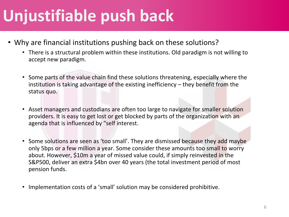#### **Unjustifiable push back**

- Why are financial institutions pushing back on these solutions?
	- There is a structural problem within these institutions. Old paradigm is not willing to accept new paradigm.
	- Some parts of the value chain find these solutions threatening, especially where the institution is taking advantage of the existing inefficiency – they benefit from the status quo.
	- Asset managers and custodians are often too large to navigate for smaller solution providers. It is easy to get lost or get blocked by parts of the organization with an agenda that is influenced by "self interest.
	- Some solutions are seen as 'too small'. They are dismissed because they add maybe only 5bps or a few million a year. Some consider these amounts too small to worry about. However, \$10m a year of missed value could, if simply reinvested in the S&P500, deliver an extra \$4bn over 40 years (the total investment period of most pension funds.
	- Implementation costs of a 'small' solution may be considered prohibitive.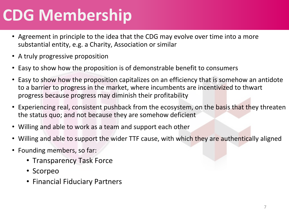### **CDG Membership**

- Agreement in principle to the idea that the CDG may evolve over time into a more substantial entity, e.g. a Charity, Association or similar
- A truly progressive proposition
- Easy to show how the proposition is of demonstrable benefit to consumers
- Easy to show how the proposition capitalizes on an efficiency that is somehow an antidote to a barrier to progress in the market, where incumbents are incentivized to thwart progress because progress may diminish their profitability
- Experiencing real, consistent pushback from the ecosystem, on the basis that they threaten the status quo; and not because they are somehow deficient
- Willing and able to work as a team and support each other
- Willing and able to support the wider TTF cause, with which they are authentically aligned
- Founding members, so far:
	- Transparency Task Force
	- Scorpeo
	- Financial Fiduciary Partners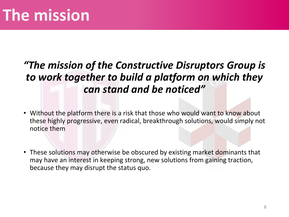#### *"The mission of the Constructive Disruptors Group is to work together to build a platform on which they can stand and be noticed"*

- Without the platform there is a risk that those who would want to know about these highly progressive, even radical, breakthrough solutions, would simply not notice them
- These solutions may otherwise be obscured by existing market dominants that may have an interest in keeping strong, new solutions from gaining traction, because they may disrupt the status quo.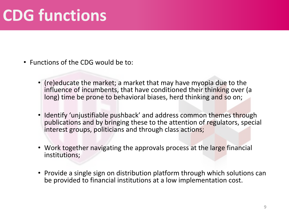#### **CDG functions**

- Functions of the CDG would be to:
	- (re)educate the market; a market that may have myopia due to the influence of incumbents, that have conditioned their thinking over (a long) time be prone to behavioral biases, herd thinking and so on;
	- Identify 'unjustifiable pushback' and address common themes through publications and by bringing these to the attention of regulators, special interest groups, politicians and through class actions;
	- Work together navigating the approvals process at the large financial institutions;
	- Provide a single sign on distribution platform through which solutions can be provided to financial institutions at a low implementation cost.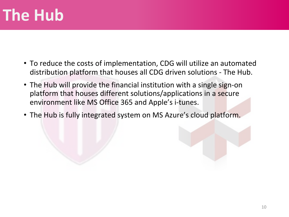### **The Hub**

- To reduce the costs of implementation, CDG will utilize an automated distribution platform that houses all CDG driven solutions - The Hub.
- The Hub will provide the financial institution with a single sign-on platform that houses different solutions/applications in a secure environment like MS Office 365 and Apple's i-tunes.
- The Hub is fully integrated system on MS Azure's cloud platform.